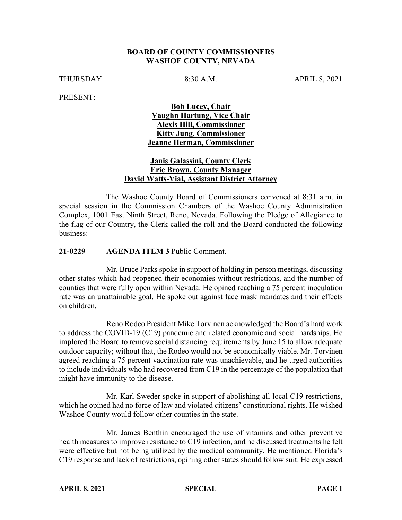### **BOARD OF COUNTY COMMISSIONERS WASHOE COUNTY, NEVADA**

THURSDAY 8:30 A.M. APRIL 8, 2021

PRESENT:

## **Bob Lucey, Chair Vaughn Hartung, Vice Chair Alexis Hill, Commissioner Kitty Jung, Commissioner Jeanne Herman, Commissioner**

### **Janis Galassini, County Clerk Eric Brown, County Manager David Watts-Vial, Assistant District Attorney**

The Washoe County Board of Commissioners convened at 8:31 a.m. in special session in the Commission Chambers of the Washoe County Administration Complex, 1001 East Ninth Street, Reno, Nevada. Following the Pledge of Allegiance to the flag of our Country, the Clerk called the roll and the Board conducted the following business:

### **21-0229 AGENDA ITEM 3** Public Comment.

Mr. Bruce Parks spoke in support of holding in-person meetings, discussing other states which had reopened their economies without restrictions, and the number of counties that were fully open within Nevada. He opined reaching a 75 percent inoculation rate was an unattainable goal. He spoke out against face mask mandates and their effects on children.

Reno Rodeo President Mike Torvinen acknowledged the Board's hard work to address the COVID-19 (C19) pandemic and related economic and social hardships. He implored the Board to remove social distancing requirements by June 15 to allow adequate outdoor capacity; without that, the Rodeo would not be economically viable. Mr. Torvinen agreed reaching a 75 percent vaccination rate was unachievable, and he urged authorities to include individuals who had recovered from C19 in the percentage of the population that might have immunity to the disease.

Mr. Karl Sweder spoke in support of abolishing all local C19 restrictions, which he opined had no force of law and violated citizens' constitutional rights. He wished Washoe County would follow other counties in the state.

Mr. James Benthin encouraged the use of vitamins and other preventive health measures to improve resistance to C19 infection, and he discussed treatments he felt were effective but not being utilized by the medical community. He mentioned Florida's C19 response and lack of restrictions, opining other states should follow suit. He expressed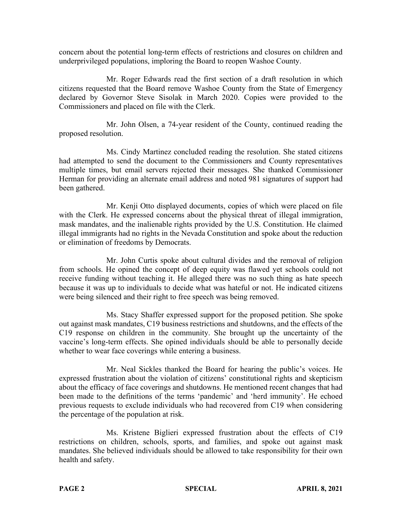concern about the potential long-term effects of restrictions and closures on children and underprivileged populations, imploring the Board to reopen Washoe County.

Mr. Roger Edwards read the first section of a draft resolution in which citizens requested that the Board remove Washoe County from the State of Emergency declared by Governor Steve Sisolak in March 2020. Copies were provided to the Commissioners and placed on file with the Clerk.

Mr. John Olsen, a 74-year resident of the County, continued reading the proposed resolution.

Ms. Cindy Martinez concluded reading the resolution. She stated citizens had attempted to send the document to the Commissioners and County representatives multiple times, but email servers rejected their messages. She thanked Commissioner Herman for providing an alternate email address and noted 981 signatures of support had been gathered.

Mr. Kenji Otto displayed documents, copies of which were placed on file with the Clerk. He expressed concerns about the physical threat of illegal immigration, mask mandates, and the inalienable rights provided by the U.S. Constitution. He claimed illegal immigrants had no rights in the Nevada Constitution and spoke about the reduction or elimination of freedoms by Democrats.

Mr. John Curtis spoke about cultural divides and the removal of religion from schools. He opined the concept of deep equity was flawed yet schools could not receive funding without teaching it. He alleged there was no such thing as hate speech because it was up to individuals to decide what was hateful or not. He indicated citizens were being silenced and their right to free speech was being removed.

Ms. Stacy Shaffer expressed support for the proposed petition. She spoke out against mask mandates, C19 business restrictions and shutdowns, and the effects of the C19 response on children in the community. She brought up the uncertainty of the vaccine's long-term effects. She opined individuals should be able to personally decide whether to wear face coverings while entering a business.

Mr. Neal Sickles thanked the Board for hearing the public's voices. He expressed frustration about the violation of citizens' constitutional rights and skepticism about the efficacy of face coverings and shutdowns. He mentioned recent changes that had been made to the definitions of the terms 'pandemic' and 'herd immunity'. He echoed previous requests to exclude individuals who had recovered from C19 when considering the percentage of the population at risk.

Ms. Kristene Biglieri expressed frustration about the effects of C19 restrictions on children, schools, sports, and families, and spoke out against mask mandates. She believed individuals should be allowed to take responsibility for their own health and safety.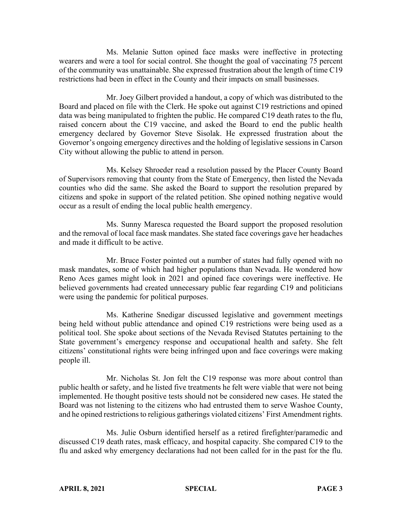Ms. Melanie Sutton opined face masks were ineffective in protecting wearers and were a tool for social control. She thought the goal of vaccinating 75 percent of the community was unattainable. She expressed frustration about the length of time C19 restrictions had been in effect in the County and their impacts on small businesses.

Mr. Joey Gilbert provided a handout, a copy of which was distributed to the Board and placed on file with the Clerk. He spoke out against C19 restrictions and opined data was being manipulated to frighten the public. He compared C19 death rates to the flu, raised concern about the C19 vaccine, and asked the Board to end the public health emergency declared by Governor Steve Sisolak. He expressed frustration about the Governor's ongoing emergency directives and the holding of legislative sessions in Carson City without allowing the public to attend in person.

Ms. Kelsey Shroeder read a resolution passed by the Placer County Board of Supervisors removing that county from the State of Emergency, then listed the Nevada counties who did the same. She asked the Board to support the resolution prepared by citizens and spoke in support of the related petition. She opined nothing negative would occur as a result of ending the local public health emergency.

Ms. Sunny Maresca requested the Board support the proposed resolution and the removal of local face mask mandates. She stated face coverings gave her headaches and made it difficult to be active.

Mr. Bruce Foster pointed out a number of states had fully opened with no mask mandates, some of which had higher populations than Nevada. He wondered how Reno Aces games might look in 2021 and opined face coverings were ineffective. He believed governments had created unnecessary public fear regarding C19 and politicians were using the pandemic for political purposes.

Ms. Katherine Snedigar discussed legislative and government meetings being held without public attendance and opined C19 restrictions were being used as a political tool. She spoke about sections of the Nevada Revised Statutes pertaining to the State government's emergency response and occupational health and safety. She felt citizens' constitutional rights were being infringed upon and face coverings were making people ill.

Mr. Nicholas St. Jon felt the C19 response was more about control than public health or safety, and he listed five treatments he felt were viable that were not being implemented. He thought positive tests should not be considered new cases. He stated the Board was not listening to the citizens who had entrusted them to serve Washoe County, and he opined restrictions to religious gatherings violated citizens' First Amendment rights.

Ms. Julie Osburn identified herself as a retired firefighter/paramedic and discussed C19 death rates, mask efficacy, and hospital capacity. She compared C19 to the flu and asked why emergency declarations had not been called for in the past for the flu.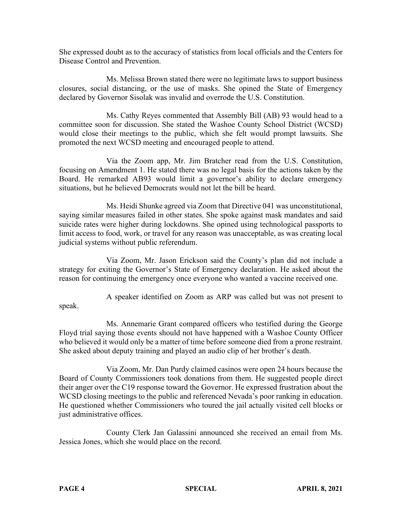She expressed doubt as to the accuracy of statistics from local officials and the Centers for Disease Control and Prevention.

Ms. Melissa Brown stated there were no legitimate laws to support business closures, social distancing, or the use of masks. She opined the State of Emergency declared by Governor Sisolak was invalid and overrode the U.S. Constitution.

Ms. Cathy Reyes commented that Assembly Bill (AB) 93 would head to a committee soon for discussion. She stated the Washoe County School District (WCSD) would close their meetings to the public, which she felt would prompt lawsuits. She promoted the next WCSD meeting and encouraged people to attend.

Via the Zoom app, Mr. Jim Bratcher read from the U.S. Constitution, focusing on Amendment 1. He stated there was no legal basis for the actions taken by the Board. He remarked AB93 would limit a governor's ability to declare emergency situations, but he believed Democrats would not let the bill be heard.

Ms. Heidi Shunke agreed via Zoom that Directive 041 was unconstitutional, saying similar measures failed in other states. She spoke against mask mandates and said suicide rates were higher during lockdowns. She opined using technological passports to limit access to food, work, or travel for any reason was unacceptable, as was creating local judicial systems without public referendum.

Via Zoom, Mr. Jason Erickson said the County's plan did not include a strategy for exiting the Governor's State of Emergency declaration. He asked about the reason for continuing the emergency once everyone who wanted a vaccine received one.

A speaker identified on Zoom as ARP was called but was not present to speak.

Ms. Annemarie Grant compared officers who testified during the George Floyd trial saying those events should not have happened with a Washoe County Officer who believed it would only be a matter of time before someone died from a prone restraint. She asked about deputy training and played an audio clip of her brother's death.

Via Zoom, Mr. Dan Purdy claimed casinos were open 24 hours because the Board of County Commissioners took donations from them. He suggested people direct their anger over the C19 response toward the Governor. He expressed frustration about the WCSD closing meetings to the public and referenced Nevada's poor ranking in education. He questioned whether Commissioners who toured the jail actually visited cell blocks or just administrative offices.

County Clerk Jan Galassini announced she received an email from Ms. Jessica Jones, which she would place on the record.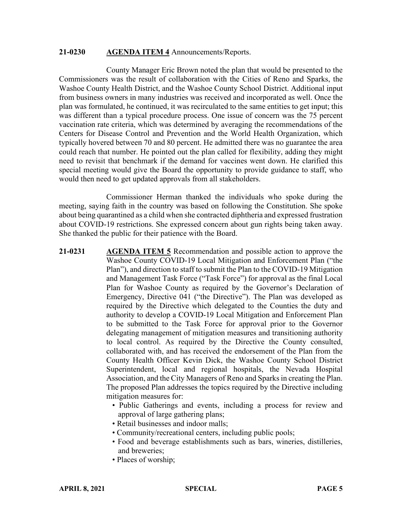#### **21-0230 AGENDA ITEM 4** Announcements/Reports.

County Manager Eric Brown noted the plan that would be presented to the Commissioners was the result of collaboration with the Cities of Reno and Sparks, the Washoe County Health District, and the Washoe County School District. Additional input from business owners in many industries was received and incorporated as well. Once the plan was formulated, he continued, it was recirculated to the same entities to get input; this was different than a typical procedure process. One issue of concern was the 75 percent vaccination rate criteria, which was determined by averaging the recommendations of the Centers for Disease Control and Prevention and the World Health Organization, which typically hovered between 70 and 80 percent. He admitted there was no guarantee the area could reach that number. He pointed out the plan called for flexibility, adding they might need to revisit that benchmark if the demand for vaccines went down. He clarified this special meeting would give the Board the opportunity to provide guidance to staff, who would then need to get updated approvals from all stakeholders.

Commissioner Herman thanked the individuals who spoke during the meeting, saying faith in the country was based on following the Constitution. She spoke about being quarantined as a child when she contracted diphtheria and expressed frustration about COVID-19 restrictions. She expressed concern about gun rights being taken away. She thanked the public for their patience with the Board.

- **21-0231 AGENDA ITEM 5** Recommendation and possible action to approve the Washoe County COVID-19 Local Mitigation and Enforcement Plan ("the Plan"), and direction to staff to submit the Plan to the COVID-19 Mitigation and Management Task Force ("Task Force") for approval as the final Local Plan for Washoe County as required by the Governor's Declaration of Emergency, Directive 041 ("the Directive"). The Plan was developed as required by the Directive which delegated to the Counties the duty and authority to develop a COVID-19 Local Mitigation and Enforcement Plan to be submitted to the Task Force for approval prior to the Governor delegating management of mitigation measures and transitioning authority to local control. As required by the Directive the County consulted, collaborated with, and has received the endorsement of the Plan from the County Health Officer Kevin Dick, the Washoe County School District Superintendent, local and regional hospitals, the Nevada Hospital Association, and the City Managers of Reno and Sparks in creating the Plan. The proposed Plan addresses the topics required by the Directive including mitigation measures for:
	- Public Gatherings and events, including a process for review and approval of large gathering plans;
	- Retail businesses and indoor malls;
	- Community/recreational centers, including public pools;
	- Food and beverage establishments such as bars, wineries, distilleries, and breweries;
	- Places of worship;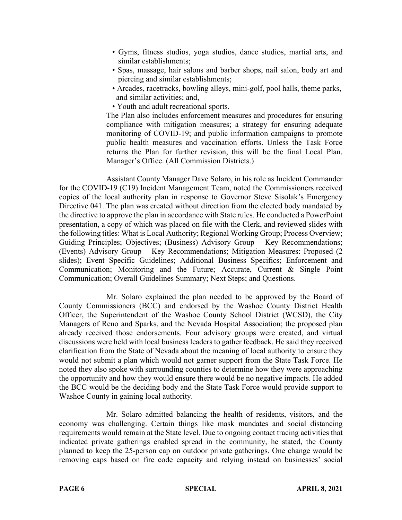- Gyms, fitness studios, yoga studios, dance studios, martial arts, and similar establishments;
- Spas, massage, hair salons and barber shops, nail salon, body art and piercing and similar establishments;
- Arcades, racetracks, bowling alleys, mini-golf, pool halls, theme parks, and similar activities; and,
- Youth and adult recreational sports.

The Plan also includes enforcement measures and procedures for ensuring compliance with mitigation measures; a strategy for ensuring adequate monitoring of COVID-19; and public information campaigns to promote public health measures and vaccination efforts. Unless the Task Force returns the Plan for further revision, this will be the final Local Plan. Manager's Office. (All Commission Districts.)

Assistant County Manager Dave Solaro, in his role as Incident Commander for the COVID-19 (C19) Incident Management Team, noted the Commissioners received copies of the local authority plan in response to Governor Steve Sisolak's Emergency Directive 041. The plan was created without direction from the elected body mandated by the directive to approve the plan in accordance with State rules. He conducted a PowerPoint presentation, a copy of which was placed on file with the Clerk, and reviewed slides with the following titles: What is Local Authority; Regional Working Group; Process Overview; Guiding Principles; Objectives; (Business) Advisory Group – Key Recommendations; (Events) Advisory Group – Key Recommendations; Mitigation Measures: Proposed (2 slides); Event Specific Guidelines; Additional Business Specifics; Enforcement and Communication; Monitoring and the Future; Accurate, Current & Single Point Communication; Overall Guidelines Summary; Next Steps; and Questions.

Mr. Solaro explained the plan needed to be approved by the Board of County Commissioners (BCC) and endorsed by the Washoe County District Health Officer, the Superintendent of the Washoe County School District (WCSD), the City Managers of Reno and Sparks, and the Nevada Hospital Association; the proposed plan already received those endorsements. Four advisory groups were created, and virtual discussions were held with local business leaders to gather feedback. He said they received clarification from the State of Nevada about the meaning of local authority to ensure they would not submit a plan which would not garner support from the State Task Force. He noted they also spoke with surrounding counties to determine how they were approaching the opportunity and how they would ensure there would be no negative impacts. He added the BCC would be the deciding body and the State Task Force would provide support to Washoe County in gaining local authority.

Mr. Solaro admitted balancing the health of residents, visitors, and the economy was challenging. Certain things like mask mandates and social distancing requirements would remain at the State level. Due to ongoing contact tracing activities that indicated private gatherings enabled spread in the community, he stated, the County planned to keep the 25-person cap on outdoor private gatherings. One change would be removing caps based on fire code capacity and relying instead on businesses' social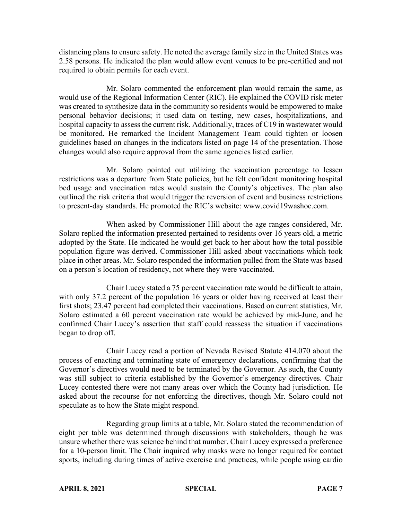distancing plans to ensure safety. He noted the average family size in the United States was 2.58 persons. He indicated the plan would allow event venues to be pre-certified and not required to obtain permits for each event.

Mr. Solaro commented the enforcement plan would remain the same, as would use of the Regional Information Center (RIC). He explained the COVID risk meter was created to synthesize data in the community so residents would be empowered to make personal behavior decisions; it used data on testing, new cases, hospitalizations, and hospital capacity to assess the current risk. Additionally, traces of C19 in wastewater would be monitored. He remarked the Incident Management Team could tighten or loosen guidelines based on changes in the indicators listed on page 14 of the presentation. Those changes would also require approval from the same agencies listed earlier.

Mr. Solaro pointed out utilizing the vaccination percentage to lessen restrictions was a departure from State policies, but he felt confident monitoring hospital bed usage and vaccination rates would sustain the County's objectives. The plan also outlined the risk criteria that would trigger the reversion of event and business restrictions to present-day standards. He promoted the RIC's website: www.covid19washoe.com.

When asked by Commissioner Hill about the age ranges considered, Mr. Solaro replied the information presented pertained to residents over 16 years old, a metric adopted by the State. He indicated he would get back to her about how the total possible population figure was derived. Commissioner Hill asked about vaccinations which took place in other areas. Mr. Solaro responded the information pulled from the State was based on a person's location of residency, not where they were vaccinated.

Chair Lucey stated a 75 percent vaccination rate would be difficult to attain, with only 37.2 percent of the population 16 years or older having received at least their first shots; 23.47 percent had completed their vaccinations. Based on current statistics, Mr. Solaro estimated a 60 percent vaccination rate would be achieved by mid-June, and he confirmed Chair Lucey's assertion that staff could reassess the situation if vaccinations began to drop off.

Chair Lucey read a portion of Nevada Revised Statute 414.070 about the process of enacting and terminating state of emergency declarations, confirming that the Governor's directives would need to be terminated by the Governor. As such, the County was still subject to criteria established by the Governor's emergency directives. Chair Lucey contested there were not many areas over which the County had jurisdiction. He asked about the recourse for not enforcing the directives, though Mr. Solaro could not speculate as to how the State might respond.

Regarding group limits at a table, Mr. Solaro stated the recommendation of eight per table was determined through discussions with stakeholders, though he was unsure whether there was science behind that number. Chair Lucey expressed a preference for a 10-person limit. The Chair inquired why masks were no longer required for contact sports, including during times of active exercise and practices, while people using cardio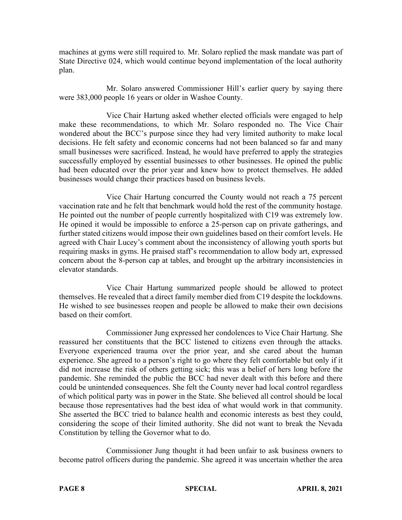machines at gyms were still required to. Mr. Solaro replied the mask mandate was part of State Directive 024, which would continue beyond implementation of the local authority plan.

Mr. Solaro answered Commissioner Hill's earlier query by saying there were 383,000 people 16 years or older in Washoe County.

Vice Chair Hartung asked whether elected officials were engaged to help make these recommendations, to which Mr. Solaro responded no. The Vice Chair wondered about the BCC's purpose since they had very limited authority to make local decisions. He felt safety and economic concerns had not been balanced so far and many small businesses were sacrificed. Instead, he would have preferred to apply the strategies successfully employed by essential businesses to other businesses. He opined the public had been educated over the prior year and knew how to protect themselves. He added businesses would change their practices based on business levels.

Vice Chair Hartung concurred the County would not reach a 75 percent vaccination rate and he felt that benchmark would hold the rest of the community hostage. He pointed out the number of people currently hospitalized with C19 was extremely low. He opined it would be impossible to enforce a 25-person cap on private gatherings, and further stated citizens would impose their own guidelines based on their comfort levels. He agreed with Chair Lucey's comment about the inconsistency of allowing youth sports but requiring masks in gyms. He praised staff's recommendation to allow body art, expressed concern about the 8-person cap at tables, and brought up the arbitrary inconsistencies in elevator standards.

Vice Chair Hartung summarized people should be allowed to protect themselves. He revealed that a direct family member died from C19 despite the lockdowns. He wished to see businesses reopen and people be allowed to make their own decisions based on their comfort.

Commissioner Jung expressed her condolences to Vice Chair Hartung. She reassured her constituents that the BCC listened to citizens even through the attacks. Everyone experienced trauma over the prior year, and she cared about the human experience. She agreed to a person's right to go where they felt comfortable but only if it did not increase the risk of others getting sick; this was a belief of hers long before the pandemic. She reminded the public the BCC had never dealt with this before and there could be unintended consequences. She felt the County never had local control regardless of which political party was in power in the State. She believed all control should be local because those representatives had the best idea of what would work in that community. She asserted the BCC tried to balance health and economic interests as best they could, considering the scope of their limited authority. She did not want to break the Nevada Constitution by telling the Governor what to do.

Commissioner Jung thought it had been unfair to ask business owners to become patrol officers during the pandemic. She agreed it was uncertain whether the area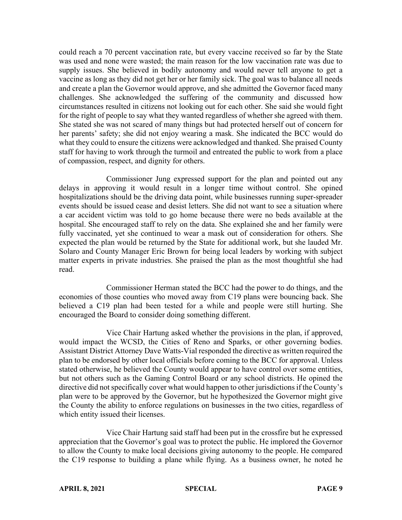could reach a 70 percent vaccination rate, but every vaccine received so far by the State was used and none were wasted; the main reason for the low vaccination rate was due to supply issues. She believed in bodily autonomy and would never tell anyone to get a vaccine as long as they did not get her or her family sick. The goal was to balance all needs and create a plan the Governor would approve, and she admitted the Governor faced many challenges. She acknowledged the suffering of the community and discussed how circumstances resulted in citizens not looking out for each other. She said she would fight for the right of people to say what they wanted regardless of whether she agreed with them. She stated she was not scared of many things but had protected herself out of concern for her parents' safety; she did not enjoy wearing a mask. She indicated the BCC would do what they could to ensure the citizens were acknowledged and thanked. She praised County staff for having to work through the turmoil and entreated the public to work from a place of compassion, respect, and dignity for others.

Commissioner Jung expressed support for the plan and pointed out any delays in approving it would result in a longer time without control. She opined hospitalizations should be the driving data point, while businesses running super-spreader events should be issued cease and desist letters. She did not want to see a situation where a car accident victim was told to go home because there were no beds available at the hospital. She encouraged staff to rely on the data. She explained she and her family were fully vaccinated, yet she continued to wear a mask out of consideration for others. She expected the plan would be returned by the State for additional work, but she lauded Mr. Solaro and County Manager Eric Brown for being local leaders by working with subject matter experts in private industries. She praised the plan as the most thoughtful she had read.

Commissioner Herman stated the BCC had the power to do things, and the economies of those counties who moved away from C19 plans were bouncing back. She believed a C19 plan had been tested for a while and people were still hurting. She encouraged the Board to consider doing something different.

Vice Chair Hartung asked whether the provisions in the plan, if approved, would impact the WCSD, the Cities of Reno and Sparks, or other governing bodies. Assistant District Attorney Dave Watts-Vial responded the directive as written required the plan to be endorsed by other local officials before coming to the BCC for approval. Unless stated otherwise, he believed the County would appear to have control over some entities, but not others such as the Gaming Control Board or any school districts. He opined the directive did not specifically cover what would happen to other jurisdictions if the County's plan were to be approved by the Governor, but he hypothesized the Governor might give the County the ability to enforce regulations on businesses in the two cities, regardless of which entity issued their licenses.

Vice Chair Hartung said staff had been put in the crossfire but he expressed appreciation that the Governor's goal was to protect the public. He implored the Governor to allow the County to make local decisions giving autonomy to the people. He compared the C19 response to building a plane while flying. As a business owner, he noted he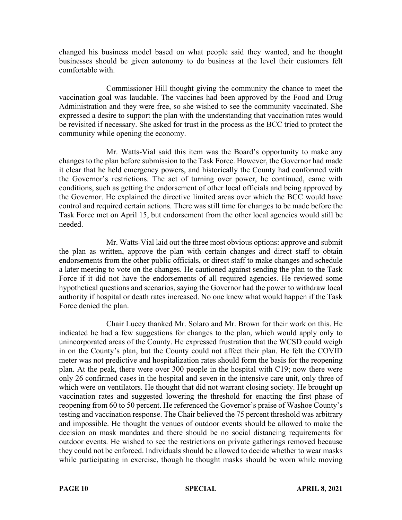changed his business model based on what people said they wanted, and he thought businesses should be given autonomy to do business at the level their customers felt comfortable with.

Commissioner Hill thought giving the community the chance to meet the vaccination goal was laudable. The vaccines had been approved by the Food and Drug Administration and they were free, so she wished to see the community vaccinated. She expressed a desire to support the plan with the understanding that vaccination rates would be revisited if necessary. She asked for trust in the process as the BCC tried to protect the community while opening the economy.

Mr. Watts-Vial said this item was the Board's opportunity to make any changes to the plan before submission to the Task Force. However, the Governor had made it clear that he held emergency powers, and historically the County had conformed with the Governor's restrictions. The act of turning over power, he continued, came with conditions, such as getting the endorsement of other local officials and being approved by the Governor. He explained the directive limited areas over which the BCC would have control and required certain actions. There was still time for changes to be made before the Task Force met on April 15, but endorsement from the other local agencies would still be needed.

Mr. Watts-Vial laid out the three most obvious options: approve and submit the plan as written, approve the plan with certain changes and direct staff to obtain endorsements from the other public officials, or direct staff to make changes and schedule a later meeting to vote on the changes. He cautioned against sending the plan to the Task Force if it did not have the endorsements of all required agencies. He reviewed some hypothetical questions and scenarios, saying the Governor had the power to withdraw local authority if hospital or death rates increased. No one knew what would happen if the Task Force denied the plan.

Chair Lucey thanked Mr. Solaro and Mr. Brown for their work on this. He indicated he had a few suggestions for changes to the plan, which would apply only to unincorporated areas of the County. He expressed frustration that the WCSD could weigh in on the County's plan, but the County could not affect their plan. He felt the COVID meter was not predictive and hospitalization rates should form the basis for the reopening plan. At the peak, there were over 300 people in the hospital with C19; now there were only 26 confirmed cases in the hospital and seven in the intensive care unit, only three of which were on ventilators. He thought that did not warrant closing society. He brought up vaccination rates and suggested lowering the threshold for enacting the first phase of reopening from 60 to 50 percent. He referenced the Governor's praise of Washoe County's testing and vaccination response. The Chair believed the 75 percent threshold was arbitrary and impossible. He thought the venues of outdoor events should be allowed to make the decision on mask mandates and there should be no social distancing requirements for outdoor events. He wished to see the restrictions on private gatherings removed because they could not be enforced. Individuals should be allowed to decide whether to wear masks while participating in exercise, though he thought masks should be worn while moving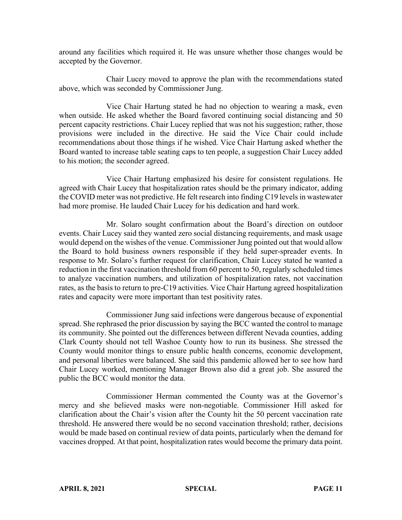around any facilities which required it. He was unsure whether those changes would be accepted by the Governor.

Chair Lucey moved to approve the plan with the recommendations stated above, which was seconded by Commissioner Jung.

Vice Chair Hartung stated he had no objection to wearing a mask, even when outside. He asked whether the Board favored continuing social distancing and 50 percent capacity restrictions. Chair Lucey replied that was not his suggestion; rather, those provisions were included in the directive. He said the Vice Chair could include recommendations about those things if he wished. Vice Chair Hartung asked whether the Board wanted to increase table seating caps to ten people, a suggestion Chair Lucey added to his motion; the seconder agreed.

Vice Chair Hartung emphasized his desire for consistent regulations. He agreed with Chair Lucey that hospitalization rates should be the primary indicator, adding the COVID meter was not predictive. He felt research into finding C19 levels in wastewater had more promise. He lauded Chair Lucey for his dedication and hard work.

Mr. Solaro sought confirmation about the Board's direction on outdoor events. Chair Lucey said they wanted zero social distancing requirements, and mask usage would depend on the wishes of the venue. Commissioner Jung pointed out that would allow the Board to hold business owners responsible if they held super-spreader events. In response to Mr. Solaro's further request for clarification, Chair Lucey stated he wanted a reduction in the first vaccination threshold from 60 percent to 50, regularly scheduled times to analyze vaccination numbers, and utilization of hospitalization rates, not vaccination rates, as the basis to return to pre-C19 activities. Vice Chair Hartung agreed hospitalization rates and capacity were more important than test positivity rates.

Commissioner Jung said infections were dangerous because of exponential spread. She rephrased the prior discussion by saying the BCC wanted the control to manage its community. She pointed out the differences between different Nevada counties, adding Clark County should not tell Washoe County how to run its business. She stressed the County would monitor things to ensure public health concerns, economic development, and personal liberties were balanced. She said this pandemic allowed her to see how hard Chair Lucey worked, mentioning Manager Brown also did a great job. She assured the public the BCC would monitor the data.

Commissioner Herman commented the County was at the Governor's mercy and she believed masks were non-negotiable. Commissioner Hill asked for clarification about the Chair's vision after the County hit the 50 percent vaccination rate threshold. He answered there would be no second vaccination threshold; rather, decisions would be made based on continual review of data points, particularly when the demand for vaccines dropped. At that point, hospitalization rates would become the primary data point.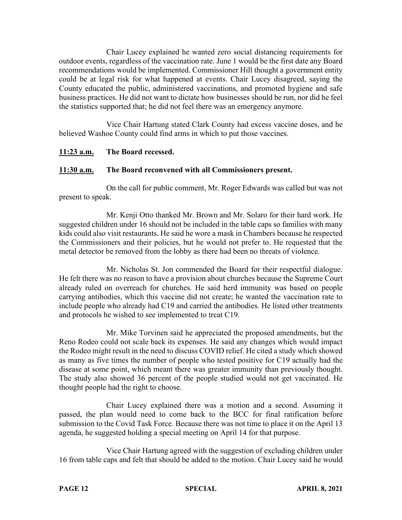Chair Lucey explained he wanted zero social distancing requirements for outdoor events, regardless of the vaccination rate. June 1 would be the first date any Board recommendations would be implemented. Commissioner Hill thought a government entity could be at legal risk for what happened at events. Chair Lucey disagreed, saying the County educated the public, administered vaccinations, and promoted hygiene and safe business practices. He did not want to dictate how businesses should be run, nor did he feel the statistics supported that; he did not feel there was an emergency anymore.

Vice Chair Hartung stated Clark County had excess vaccine doses, and he believed Washoe County could find arms in which to put those vaccines.

# **11:23 a.m. The Board recessed.**

## **11:30 a.m. The Board reconvened with all Commissioners present.**

On the call for public comment, Mr. Roger Edwards was called but was not present to speak.

Mr. Kenji Otto thanked Mr. Brown and Mr. Solaro for their hard work. He suggested children under 16 should not be included in the table caps so families with many kids could also visit restaurants. He said he wore a mask in Chambers because he respected the Commissioners and their policies, but he would not prefer to. He requested that the metal detector be removed from the lobby as there had been no threats of violence.

Mr. Nicholas St. Jon commended the Board for their respectful dialogue. He felt there was no reason to have a provision about churches because the Supreme Court already ruled on overreach for churches. He said herd immunity was based on people carrying antibodies, which this vaccine did not create; he wanted the vaccination rate to include people who already had C19 and carried the antibodies. He listed other treatments and protocols he wished to see implemented to treat C19.

Mr. Mike Torvinen said he appreciated the proposed amendments, but the Reno Rodeo could not scale back its expenses. He said any changes which would impact the Rodeo might result in the need to discuss COVID relief. He cited a study which showed as many as five times the number of people who tested positive for C19 actually had the disease at some point, which meant there was greater immunity than previously thought. The study also showed 36 percent of the people studied would not get vaccinated. He thought people had the right to choose.

Chair Lucey explained there was a motion and a second. Assuming it passed, the plan would need to come back to the BCC for final ratification before submission to the Covid Task Force. Because there was not time to place it on the April 13 agenda, he suggested holding a special meeting on April 14 for that purpose.

Vice Chair Hartung agreed with the suggestion of excluding children under 16 from table caps and felt that should be added to the motion. Chair Lucey said he would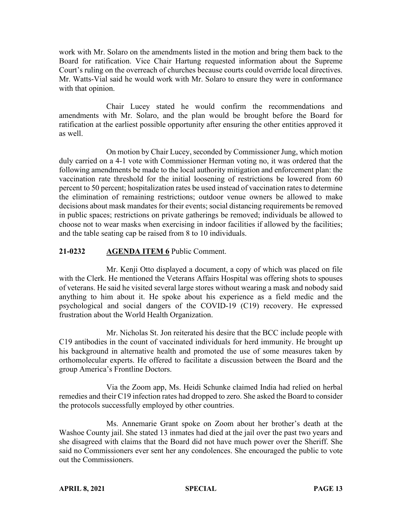work with Mr. Solaro on the amendments listed in the motion and bring them back to the Board for ratification. Vice Chair Hartung requested information about the Supreme Court's ruling on the overreach of churches because courts could override local directives. Mr. Watts-Vial said he would work with Mr. Solaro to ensure they were in conformance with that opinion.

Chair Lucey stated he would confirm the recommendations and amendments with Mr. Solaro, and the plan would be brought before the Board for ratification at the earliest possible opportunity after ensuring the other entities approved it as well.

On motion by Chair Lucey, seconded by Commissioner Jung, which motion duly carried on a 4-1 vote with Commissioner Herman voting no, it was ordered that the following amendments be made to the local authority mitigation and enforcement plan: the vaccination rate threshold for the initial loosening of restrictions be lowered from 60 percent to 50 percent; hospitalization rates be used instead of vaccination rates to determine the elimination of remaining restrictions; outdoor venue owners be allowed to make decisions about mask mandates for their events; social distancing requirements be removed in public spaces; restrictions on private gatherings be removed; individuals be allowed to choose not to wear masks when exercising in indoor facilities if allowed by the facilities; and the table seating cap be raised from 8 to 10 individuals.

## **21-0232 AGENDA ITEM 6** Public Comment.

Mr. Kenji Otto displayed a document, a copy of which was placed on file with the Clerk. He mentioned the Veterans Affairs Hospital was offering shots to spouses of veterans. He said he visited several large stores without wearing a mask and nobody said anything to him about it. He spoke about his experience as a field medic and the psychological and social dangers of the COVID-19 (C19) recovery. He expressed frustration about the World Health Organization.

Mr. Nicholas St. Jon reiterated his desire that the BCC include people with C19 antibodies in the count of vaccinated individuals for herd immunity. He brought up his background in alternative health and promoted the use of some measures taken by orthomolecular experts. He offered to facilitate a discussion between the Board and the group America's Frontline Doctors.

Via the Zoom app, Ms. Heidi Schunke claimed India had relied on herbal remedies and their C19 infection rates had dropped to zero. She asked the Board to consider the protocols successfully employed by other countries.

Ms. Annemarie Grant spoke on Zoom about her brother's death at the Washoe County jail. She stated 13 inmates had died at the jail over the past two years and she disagreed with claims that the Board did not have much power over the Sheriff. She said no Commissioners ever sent her any condolences. She encouraged the public to vote out the Commissioners.